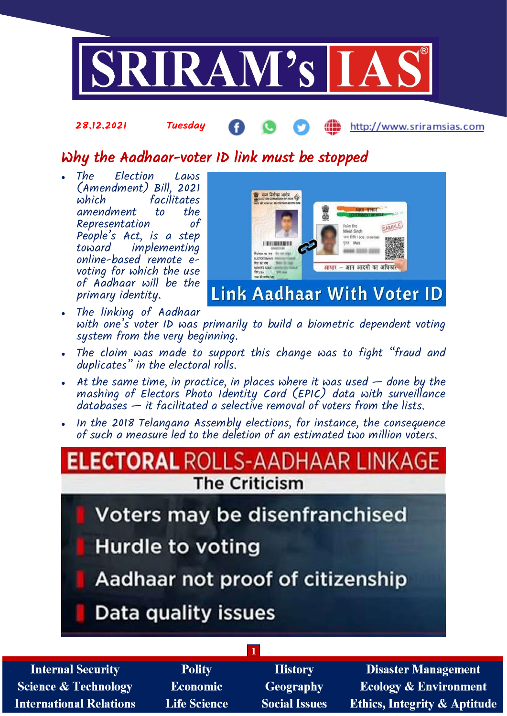

# Why the Aadhaar-voter ID link must be stopped

 The Election Laws (Amendment) Bill, 2021 facilitates<br>to the amendment to the<br>Representation of Representation People's Act, is a step implementing online-based remote evoting for which the use of Aadhaar will be the primary identity.

28.12.2021 Tuesday



ÆÑ

http://www.sriramsias.com

- The linking of Aadhaar with one's voter ID was primarily to build a biometric dependent voting system from the very beginning.
- The claim was made to support this change was to fight "fraud and duplicates" in the electoral rolls.
- At the same time, in practice, in places where it was used  $-$  done by the mashing of Electors Photo Identity Card (EPIC) data with surveillance  $databases - it facilitated a selective removal of voters from the lists.$
- In the 2018 Telangana Assembly elections, for instance, the consequence of such a measure led to the deletion of an estimated two million voters.

# **ECTORAL** RO **The Criticism Voters may be disenfranchised Hurdle to voting** Aadhaar not proof of citizenship Data quality issues

**1**

**Internal Security Science & Technology International Relations** 

- **Polity Economic Life Science**
- **History Geography Social Issues**

**Disaster Management Ecology & Environment Ethics, Integrity & Aptitude**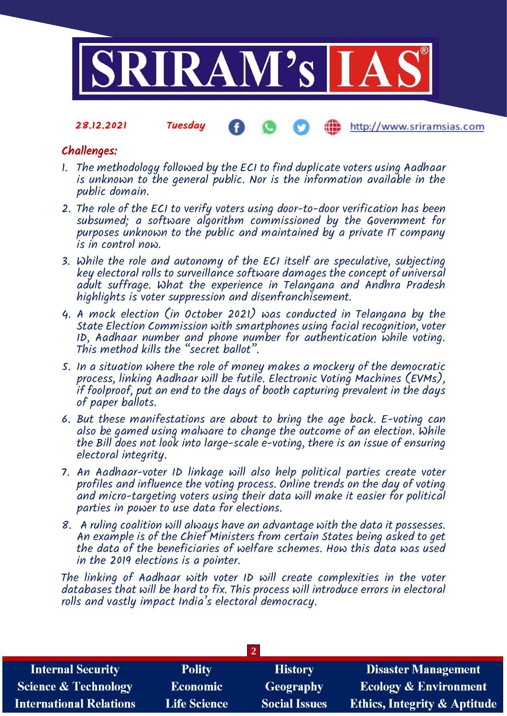

## Challenges:

- 1. The methodology followed by the ECI to find duplicate voters using Aadhaar is unknown to the general public. Nor is the information available in the public domain.
- 2. The role of the ECI to verify voters using door-to-door verification has been subsumed; a software algorithm commissioned by the Government for purposes unknown to the public and maintained by a private IT company is in control now.
- 3. While the role and autonomy of the ECI itself are speculative, subjecting key electoral rolls to surveillance software damages the concept of universal adult suffrage. What the experience in Telangana and Andhra Pradesh highlights is voter suppression and disenfranchisement.
- 4. A mock election (in October 2021) was conducted in Telangana by the State Election Commission with smartphones using facial recognition, voter ID, Aadhaar number and phone number for authentication while voting. This method kills the "secret ballot".
- 5. In a situation where the role of money makes a mockery of the democratic process, linking Aadhaar will be futile. Electronic Voting Machines (EVMs), if foolproof, put an end to the days of booth capturing prevalent in the days of paper ballots.
- 6. But these manifestations are about to bring the age back. E-voting can also be gamed using malware to change the outcome of an election. While the Bill does not look into large-scale e-voting, there is an issue of ensuring electoral integrity.
- 7. An Aadhaar-voter ID linkage will also help political parties create voter profiles and influence the voting process. Online trends on the day of voting and micro-targeting voters using their data will make it easier for political parties in power to use data for elections.
- 8. A ruling coalition will always have an advantage with the data it possesses. An example is of the Chief Ministers from certain States being asked to get the data of the beneficiaries of welfare schemes. How this data was used in the 2019 elections is a pointer.

The linking of Aadhaar with voter ID will create complexities in the voter databases that will be hard to fix. This process will introduce errors in electoral rolls and vastly impact India's electoral democracy.

| <b>Internal Security</b>        | <b>Polity</b>       | <b>History</b>       | <b>Disaster Management</b>              |  |
|---------------------------------|---------------------|----------------------|-----------------------------------------|--|
| <b>Science &amp; Technology</b> | <b>Economic</b>     | Geography            | <b>Ecology &amp; Environment</b>        |  |
| <b>International Relations</b>  | <b>Life Science</b> | <b>Social Issues</b> | <b>Ethics, Integrity &amp; Aptitude</b> |  |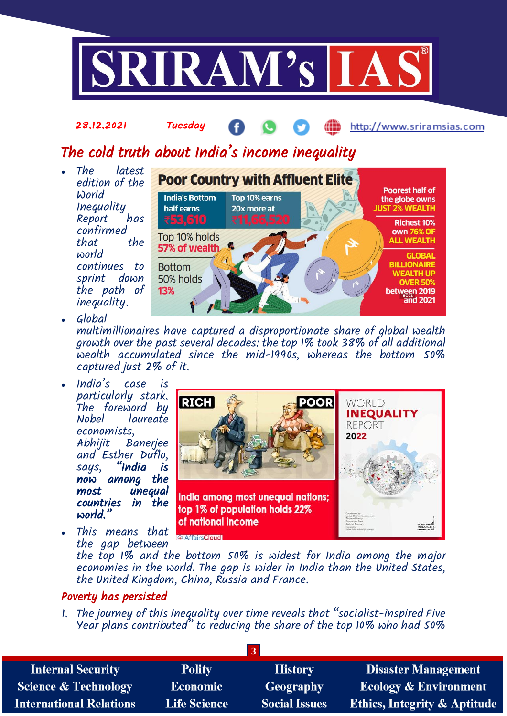

## The cold truth about India's income inequality

 The latest edition of the World Inequality Report confirmed that world continues to sprint down the path of inequality.



Global

multimillionaires have captured a disproportionate share of global wealth growth over the past several decades: the top 1% took 38% of all additional wealth accumulated since the mid-1990s, whereas the bottom 50% captured just 2% of it.

- India's case is particularly stark. The foreword by<br>Nobel laureate laureate economists, Baneriee and Esther Duflo, says, "India is now among the unequal countries in the world."
- This means that the gap between



the top 1% and the bottom 50% is widest for India among the major economies in the world. The gap is wider in India than the United States, the United Kingdom, China, Russia and France.

## Poverty has persisted

1. The journey of this inequality over time reveals that "socialist-inspired Five Year plans contributed" to reducing the share of the top 10% who had 50%

| <b>Polity</b>       | <b>History</b>       | <b>Disaster Management</b>              |
|---------------------|----------------------|-----------------------------------------|
| <b>Economic</b>     | Geography            | <b>Ecology &amp; Environment</b>        |
| <b>Life Science</b> | <b>Social Issues</b> | <b>Ethics, Integrity &amp; Aptitude</b> |
|                     |                      |                                         |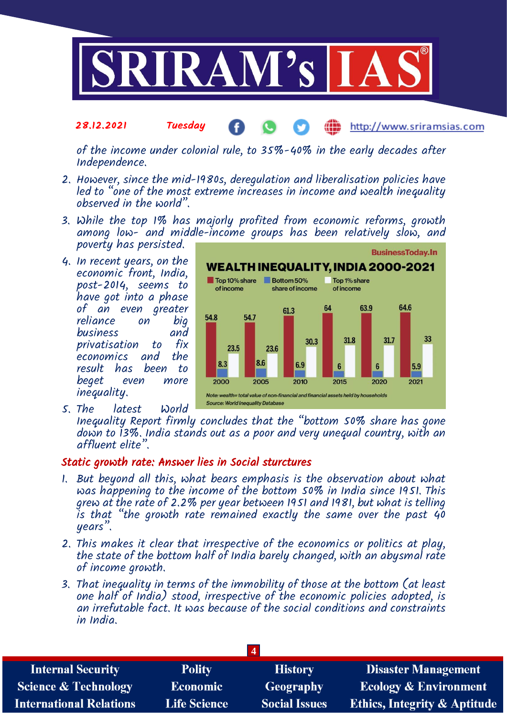

of the income under colonial rule, to 35%-40% in the early decades after Independence.

- 2. However, since the mid-1980s, deregulation and liberalisation policies have led to "one of the most extreme increases in income and wealth inequality observed in the world".
- 3. While the top 1% has majorly profited from economic reforms, growth among low- and middle-income groups has been relatively slow, and poverty has persisted.
- 4. In recent years, on the economic front, India, post-2014, seems to have got into a phase of an even greater<br>reliance on big reliance on big<br>business and business privatisation to fix economics and the result has been to beget even more inequality.
- 5. The latest World



Inequality Report firmly concludes that the "bottom 50% share has gone down to 13%. India stands out as a poor and very unequal country, with an affluent elite".

### Static growth rate: Answer lies in Social sturctures

- 1. But beyond all this, what bears emphasis is the observation about what was happening to the income of the bottom 50% in India since 1951. This grew at the rate of 2.2% per year between 1951 and 1981, but what is telling is that "the growth rate remained exactly the same over the past 40 years".
- 2. This makes it clear that irrespective of the economics or politics at play, the state of the bottom half of India barely changed, with an abysmal rate of income growth.
- 3. That inequality in terms of the immobility of those at the bottom (at least one half of India) stood, irrespective of the economic policies adopted, is an irrefutable fact. It was because of the social conditions and constraints in India.

| <b>Internal Security</b>        | <b>Polity</b>       | <b>History</b>       | <b>Disaster Management</b>       |  |
|---------------------------------|---------------------|----------------------|----------------------------------|--|
| <b>Science &amp; Technology</b> | Economic            | Geography            | <b>Ecology &amp; Environment</b> |  |
| <b>International Relations</b>  | <b>Life Science</b> | <b>Social Issues</b> | Ethics, Integrity & Aptitude     |  |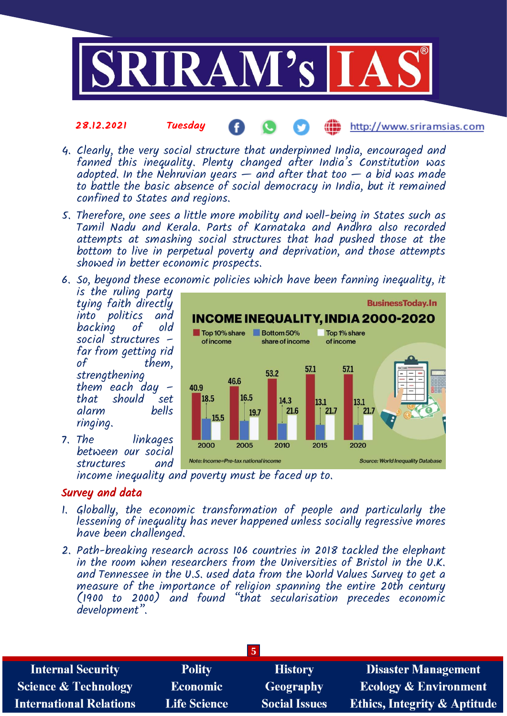

- 4. Clearly, the very social structure that underpinned India, encouraged and fanned this inequality. Plenty changed after India's Constitution was adopted. In the Nehruvian years  $-$  and after that too  $-$  a bid was made to battle the basic absence of social democracy in India, but it remained confined to States and regions.
- 5. Therefore, one sees a little more mobility and well-being in States such as Tamil Nadu and Kerala. Parts of Karnataka and Andhra also recorded attempts at smashing social structures that had pushed those at the bottom to live in perpetual poverty and deprivation, and those attempts showed in better economic prospects.
- 6. So, beyond these economic policies which have been fanning inequality, it is the ruling party

tying faith directly into politics and backing of old social structures – far from getting rid them, strengthening them each day – that should set alarm ringing.

7. The linkages between our social structures

#### **BusinessToday.In** INCOME INEQUALITY, INDIA 2000-2020 Top 10% share Bottom 50% Top 1% share of income **of income** share of income 57.1 57.1 53.2 46.6 40.9 16.5 18.5 14.3 13.1 13.1 21.6  $21.7$ 21.7 19.7 15.5 2000 2005 2015 2010 2020 Note: Income=Pre-tax national income **Source: World Inequality Database**

income inequality and poverty must be faced up to.

## Survey and data

- 1. Globally, the economic transformation of people and particularly the lessening of inequality has never happened unless socially regressive mores have been challenged.
- 2. Path-breaking research across 106 countries in 2018 tackled the elephant in the room when researchers from the Universities of Bristol in the U.K. and Tennessee in the U.S. used data from the World Values Survey to get a measure of the importance of religion spanning the entire 20th century (1900 to 2000) and found "that secularisation precedes economic development".

| <b>Internal Security</b>        | <b>Polity</b>       | <b>History</b>       | <b>Disaster Management</b>              |  |
|---------------------------------|---------------------|----------------------|-----------------------------------------|--|
| <b>Science &amp; Technology</b> | <b>Economic</b>     | Geography            | <b>Ecology &amp; Environment</b>        |  |
| <b>International Relations</b>  | <b>Life Science</b> | <b>Social Issues</b> | <b>Ethics, Integrity &amp; Aptitude</b> |  |